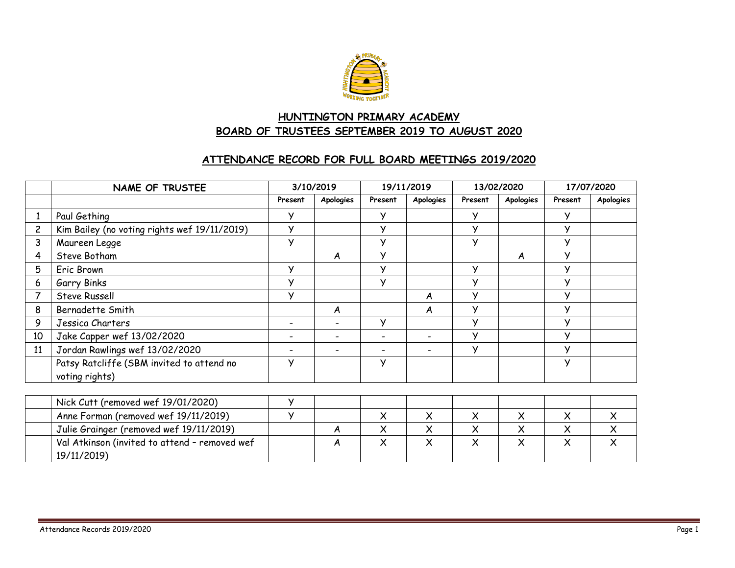

# **HUNTINGTON PRIMARY ACADEMY BOARD OF TRUSTEES SEPTEMBER 2019 TO AUGUST 2020**

#### **ATTENDANCE RECORD FOR FULL BOARD MEETINGS 2019/2020**

|                | <b>NAME OF TRUSTEE</b>                                       | 3/10/2019                |                              | 19/11/2019   |           | 13/02/2020   |           | 17/07/2020 |                  |
|----------------|--------------------------------------------------------------|--------------------------|------------------------------|--------------|-----------|--------------|-----------|------------|------------------|
|                |                                                              | Present                  | Apologies                    | Present      | Apologies | Present      | Apologies | Present    | <b>Apologies</b> |
|                | Paul Gething                                                 | У                        |                              | У            |           | у            |           | y          |                  |
| $\overline{c}$ | Kim Bailey (no voting rights wef 19/11/2019)                 | У                        |                              | $\checkmark$ |           | У            |           | У          |                  |
| 3              | Maureen Legge                                                | У                        |                              | $\vee$       |           | $\vee$       |           | У          |                  |
| 4              | Steve Botham                                                 |                          | A                            | $\mathsf{v}$ |           |              | A         | y          |                  |
| 5              | Eric Brown                                                   | У                        |                              | y            |           | У            |           | y          |                  |
| 6              | Garry Binks                                                  | У                        |                              | y            |           | У            |           | У          |                  |
|                | Steve Russell                                                | У                        |                              |              | A         | У            |           | У          |                  |
| 8              | Bernadette Smith                                             |                          | A                            |              | A         | У            |           | У          |                  |
| 9              | Jessica Charters                                             | $\overline{\phantom{a}}$ | $\qquad \qquad \blacksquare$ | У            |           | У            |           | У          |                  |
| 10             | Jake Capper wef 13/02/2020                                   |                          |                              |              |           | У            |           | y          |                  |
| 11             | Jordan Rawlings wef 13/02/2020                               |                          |                              |              |           | У            |           | У          |                  |
|                | Patsy Ratcliffe (SBM invited to attend no<br>voting rights)  | У                        |                              | y            |           |              |           | У          |                  |
|                |                                                              |                          |                              |              |           |              |           |            |                  |
|                | Nick Cutt (removed wef 19/01/2020)                           | У                        |                              |              |           |              |           |            |                  |
|                | Anne Forman (removed wef 19/11/2019)                         | y                        |                              | $\times$     | X         | $\times$     | $\times$  | $\times$   | X                |
|                | Julie Grainger (removed wef 19/11/2019)                      |                          | A                            | X            | $\times$  | $\mathsf{x}$ | $\times$  | $\times$   | $\mathsf{x}$     |
|                | Val Atkinson (invited to attend - removed wef<br>19/11/2019) |                          | A                            | $\times$     | $\times$  | X            | $\times$  | X          | $\times$         |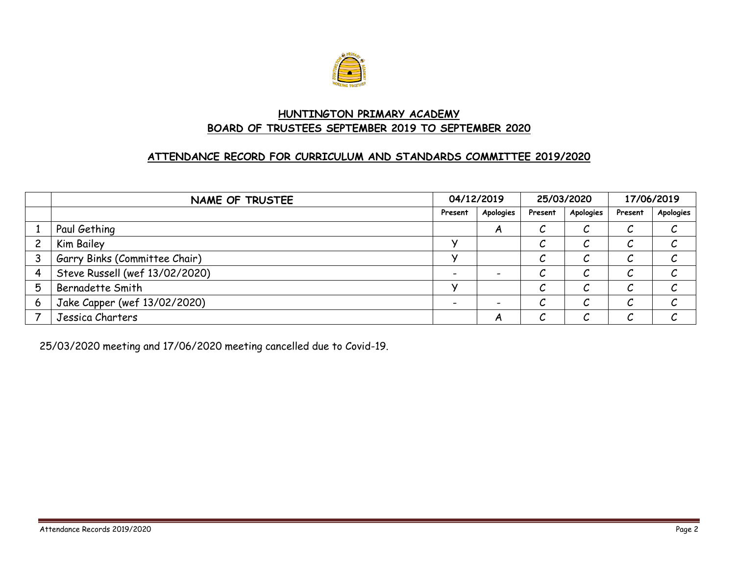

### **HUNTINGTON PRIMARY ACADEMY BOARD OF TRUSTEES SEPTEMBER 2019 TO SEPTEMBER 2020**

### **ATTENDANCE RECORD FOR CURRICULUM AND STANDARDS COMMITTEE 2019/2020**

|   | NAME OF TRUSTEE                |         | 04/12/2019 |         | 25/03/2020 |         | 17/06/2019 |  |
|---|--------------------------------|---------|------------|---------|------------|---------|------------|--|
|   |                                | Present | Apologies  | Present | Apologies  | Present | Apologies  |  |
|   | Paul Gething                   |         | A          | Č       | ◡          |         |            |  |
|   | Kim Bailey                     |         |            | ັ       | U          |         |            |  |
|   | Garry Binks (Committee Chair)  |         |            | ັ       | U          |         |            |  |
|   | Steve Russell (wef 13/02/2020) |         |            | ັ       | U          |         |            |  |
| 5 | <b>Bernadette Smith</b>        |         |            | ↗<br>ັ  | ັ          |         |            |  |
| 6 | Jake Capper (wef 13/02/2020)   |         |            | U       | ັ          |         |            |  |
|   | Jessica Charters               |         | A          | ັ       | ັ          |         |            |  |

25/03/2020 meeting and 17/06/2020 meeting cancelled due to Covid-19.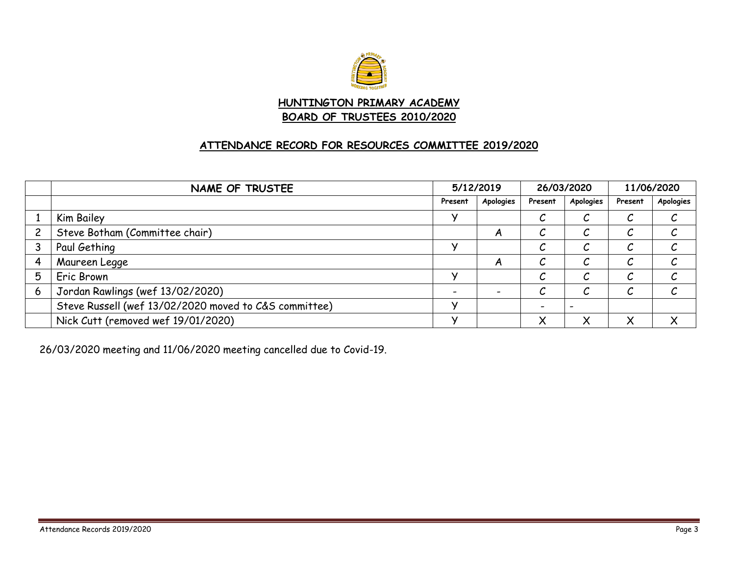

#### **HUNTINGTON PRIMARY ACADEMY BOARD OF TRUSTEES 2010/2020**

## **ATTENDANCE RECORD FOR RESOURCES COMMITTEE 2019/2020**

|   | NAME OF TRUSTEE                                       | 5/12/2019 |           | 26/03/2020        |             | 11/06/2020 |           |
|---|-------------------------------------------------------|-----------|-----------|-------------------|-------------|------------|-----------|
|   |                                                       | Present   | Apologies | Present           | Apologies   | Present    | Apologies |
|   | Kim Bailey                                            |           |           |                   | ັ           | u          |           |
|   | Steve Botham (Committee chair)                        |           | A         |                   | U           | U          |           |
|   | Paul Gething                                          |           |           |                   | U           | U          |           |
|   | Maureen Legge                                         |           | A         |                   |             |            |           |
| 5 | Eric Brown                                            |           |           |                   |             |            |           |
| 6 | Jordan Rawlings (wef 13/02/2020)                      |           |           |                   | ັ           | U          |           |
|   | Steve Russell (wef 13/02/2020 moved to C&S committee) |           |           |                   |             |            |           |
|   | Nick Cutt (removed wef 19/01/2020)                    |           |           | $\checkmark$<br>⌒ | $\check{ }$ | ◡          |           |

26/03/2020 meeting and 11/06/2020 meeting cancelled due to Covid-19.